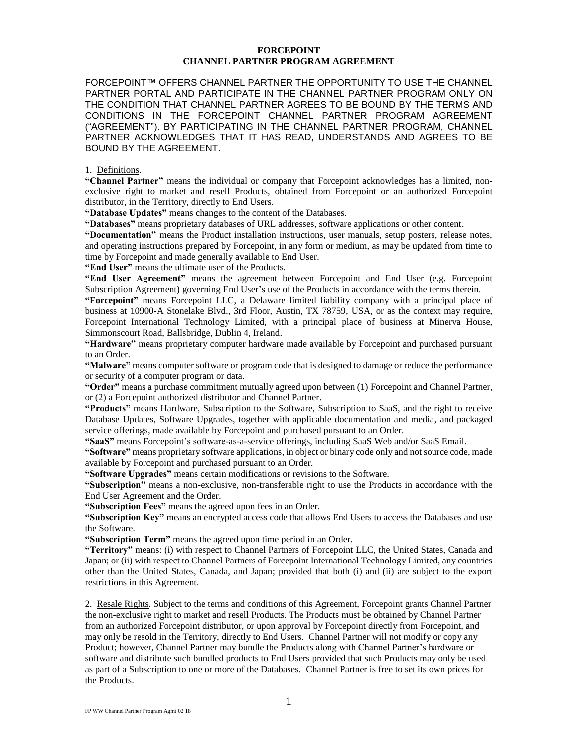## **FORCEPOINT CHANNEL PARTNER PROGRAM AGREEMENT**

FORCEPOINT™ OFFERS CHANNEL PARTNER THE OPPORTUNITY TO USE THE CHANNEL PARTNER PORTAL AND PARTICIPATE IN THE CHANNEL PARTNER PROGRAM ONLY ON THE CONDITION THAT CHANNEL PARTNER AGREES TO BE BOUND BY THE TERMS AND CONDITIONS IN THE FORCEPOINT CHANNEL PARTNER PROGRAM AGREEMENT ("AGREEMENT"). BY PARTICIPATING IN THE CHANNEL PARTNER PROGRAM, CHANNEL PARTNER ACKNOWLEDGES THAT IT HAS READ, UNDERSTANDS AND AGREES TO BE BOUND BY THE AGREEMENT.

## 1. Definitions.

**"Channel Partner"** means the individual or company that Forcepoint acknowledges has a limited, nonexclusive right to market and resell Products, obtained from Forcepoint or an authorized Forcepoint distributor, in the Territory, directly to End Users.

**"Database Updates"** means changes to the content of the Databases.

**"Databases"** means proprietary databases of URL addresses, software applications or other content.

**"Documentation"** means the Product installation instructions, user manuals, setup posters, release notes, and operating instructions prepared by Forcepoint, in any form or medium, as may be updated from time to time by Forcepoint and made generally available to End User.

**"End User"** means the ultimate user of the Products.

**"End User Agreement"** means the agreement between Forcepoint and End User (e.g. Forcepoint Subscription Agreement) governing End User's use of the Products in accordance with the terms therein.

**"Forcepoint"** means Forcepoint LLC, a Delaware limited liability company with a principal place of business at 10900-A Stonelake Blvd., 3rd Floor, Austin, TX 78759, USA, or as the context may require, Forcepoint International Technology Limited, with a principal place of business at Minerva House, Simmonscourt Road, Ballsbridge, Dublin 4, Ireland.

**"Hardware"** means proprietary computer hardware made available by Forcepoint and purchased pursuant to an Order.

**"Malware"** means computer software or program code that is designed to damage or reduce the performance or security of a computer program or data.

**"Order"** means a purchase commitment mutually agreed upon between (1) Forcepoint and Channel Partner, or (2) a Forcepoint authorized distributor and Channel Partner.

**"Products"** means Hardware, Subscription to the Software, Subscription to SaaS, and the right to receive Database Updates, Software Upgrades, together with applicable documentation and media, and packaged service offerings, made available by Forcepoint and purchased pursuant to an Order.

**"SaaS"** means Forcepoint's software-as-a-service offerings, including SaaS Web and/or SaaS Email.

**"Software"** means proprietary software applications, in object or binary code only and not source code, made available by Forcepoint and purchased pursuant to an Order.

**"Software Upgrades"** means certain modifications or revisions to the Software.

**"Subscription"** means a non-exclusive, non-transferable right to use the Products in accordance with the End User Agreement and the Order.

**"Subscription Fees"** means the agreed upon fees in an Order.

**"Subscription Key"** means an encrypted access code that allows End Users to access the Databases and use the Software.

**"Subscription Term"** means the agreed upon time period in an Order.

**"Territory"** means: (i) with respect to Channel Partners of Forcepoint LLC, the United States, Canada and Japan; or (ii) with respect to Channel Partners of Forcepoint International Technology Limited, any countries other than the United States, Canada, and Japan; provided that both (i) and (ii) are subject to the export restrictions in this Agreement.

2. Resale Rights. Subject to the terms and conditions of this Agreement, Forcepoint grants Channel Partner the non-exclusive right to market and resell Products. The Products must be obtained by Channel Partner from an authorized Forcepoint distributor, or upon approval by Forcepoint directly from Forcepoint, and may only be resold in the Territory, directly to End Users. Channel Partner will not modify or copy any Product; however, Channel Partner may bundle the Products along with Channel Partner's hardware or software and distribute such bundled products to End Users provided that such Products may only be used as part of a Subscription to one or more of the Databases. Channel Partner is free to set its own prices for the Products.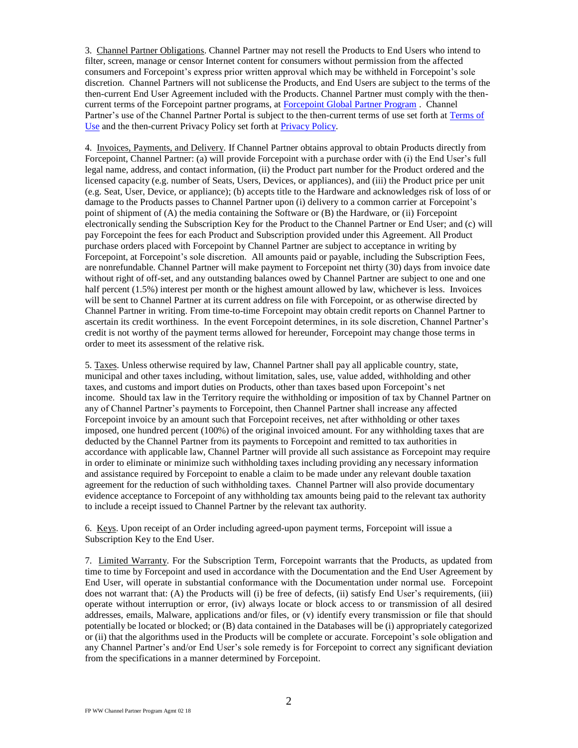3. Channel Partner Obligations. Channel Partner may not resell the Products to End Users who intend to filter, screen, manage or censor Internet content for consumers without permission from the affected consumers and Forcepoint's express prior written approval which may be withheld in Forcepoint's sole discretion. Channel Partners will not sublicense the Products, and End Users are subject to the terms of the then-current End User Agreement included with the Products. Channel Partner must comply with the thencurrent terms of the Forcepoint partner programs, at [Forcepoint Global Partner Program](http://www.websense.com/content/websense-global-partner-program.aspx?utm_source=Forcepoint.com&utm_medium=Main%20Nav%20Header) . Channel Partner's use of the Channel Partner Portal is subject to the then-current terms of use set forth at [Terms of](https://www.forcepoint.com/company/legal-information?utm_source=Websense&utm_medium=Redirect&utm_content=legal)  [Use](https://www.forcepoint.com/company/legal-information?utm_source=Websense&utm_medium=Redirect&utm_content=legal) and the then-current Privacy Policy set forth at [Privacy Policy.](https://www.forcepoint.com/privacy-policy)

4. Invoices, Payments, and Delivery. If Channel Partner obtains approval to obtain Products directly from Forcepoint, Channel Partner: (a) will provide Forcepoint with a purchase order with (i) the End User's full legal name, address, and contact information, (ii) the Product part number for the Product ordered and the licensed capacity (e.g. number of Seats, Users, Devices, or appliances), and (iii) the Product price per unit (e.g. Seat, User, Device, or appliance); (b) accepts title to the Hardware and acknowledges risk of loss of or damage to the Products passes to Channel Partner upon (i) delivery to a common carrier at Forcepoint's point of shipment of (A) the media containing the Software or (B) the Hardware, or (ii) Forcepoint electronically sending the Subscription Key for the Product to the Channel Partner or End User; and (c) will pay Forcepoint the fees for each Product and Subscription provided under this Agreement. All Product purchase orders placed with Forcepoint by Channel Partner are subject to acceptance in writing by Forcepoint, at Forcepoint's sole discretion. All amounts paid or payable, including the Subscription Fees, are nonrefundable. Channel Partner will make payment to Forcepoint net thirty (30) days from invoice date without right of off-set, and any outstanding balances owed by Channel Partner are subject to one and one half percent (1.5%) interest per month or the highest amount allowed by law, whichever is less. Invoices will be sent to Channel Partner at its current address on file with Forcepoint, or as otherwise directed by Channel Partner in writing. From time-to-time Forcepoint may obtain credit reports on Channel Partner to ascertain its credit worthiness. In the event Forcepoint determines, in its sole discretion, Channel Partner's credit is not worthy of the payment terms allowed for hereunder, Forcepoint may change those terms in order to meet its assessment of the relative risk.

5. Taxes. Unless otherwise required by law, Channel Partner shall pay all applicable country, state, municipal and other taxes including, without limitation, sales, use, value added, withholding and other taxes, and customs and import duties on Products, other than taxes based upon Forcepoint's net income. Should tax law in the Territory require the withholding or imposition of tax by Channel Partner on any of Channel Partner's payments to Forcepoint, then Channel Partner shall increase any affected Forcepoint invoice by an amount such that Forcepoint receives, net after withholding or other taxes imposed, one hundred percent (100%) of the original invoiced amount. For any withholding taxes that are deducted by the Channel Partner from its payments to Forcepoint and remitted to tax authorities in accordance with applicable law, Channel Partner will provide all such assistance as Forcepoint may require in order to eliminate or minimize such withholding taxes including providing any necessary information and assistance required by Forcepoint to enable a claim to be made under any relevant double taxation agreement for the reduction of such withholding taxes. Channel Partner will also provide documentary evidence acceptance to Forcepoint of any withholding tax amounts being paid to the relevant tax authority to include a receipt issued to Channel Partner by the relevant tax authority.

6. Keys. Upon receipt of an Order including agreed-upon payment terms, Forcepoint will issue a Subscription Key to the End User.

7. Limited Warranty. For the Subscription Term, Forcepoint warrants that the Products, as updated from time to time by Forcepoint and used in accordance with the Documentation and the End User Agreement by End User, will operate in substantial conformance with the Documentation under normal use. Forcepoint does not warrant that: (A) the Products will (i) be free of defects, (ii) satisfy End User's requirements, (iii) operate without interruption or error, (iv) always locate or block access to or transmission of all desired addresses, emails, Malware, applications and/or files, or (v) identify every transmission or file that should potentially be located or blocked; or (B) data contained in the Databases will be (i) appropriately categorized or (ii) that the algorithms used in the Products will be complete or accurate. Forcepoint's sole obligation and any Channel Partner's and/or End User's sole remedy is for Forcepoint to correct any significant deviation from the specifications in a manner determined by Forcepoint.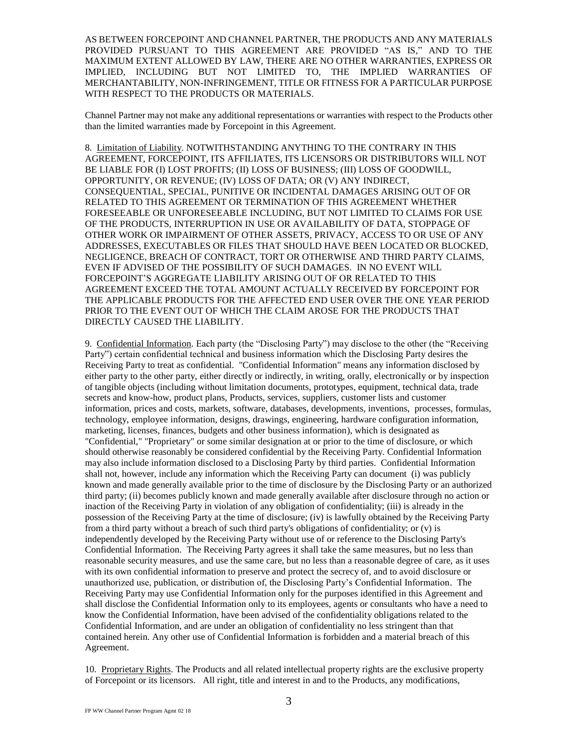AS BETWEEN FORCEPOINT AND CHANNEL PARTNER, THE PRODUCTS AND ANY MATERIALS PROVIDED PURSUANT TO THIS AGREEMENT ARE PROVIDED "AS IS," AND TO THE MAXIMUM EXTENT ALLOWED BY LAW, THERE ARE NO OTHER WARRANTIES, EXPRESS OR IMPLIED, INCLUDING BUT NOT LIMITED TO, THE IMPLIED WARRANTIES OF MERCHANTABILITY, NON-INFRINGEMENT, TITLE OR FITNESS FOR A PARTICULAR PURPOSE WITH RESPECT TO THE PRODUCTS OR MATERIALS.

Channel Partner may not make any additional representations or warranties with respect to the Products other than the limited warranties made by Forcepoint in this Agreement.

8. Limitation of Liability. NOTWITHSTANDING ANYTHING TO THE CONTRARY IN THIS AGREEMENT, FORCEPOINT, ITS AFFILIATES, ITS LICENSORS OR DISTRIBUTORS WILL NOT BE LIABLE FOR (I) LOST PROFITS; (II) LOSS OF BUSINESS; (III) LOSS OF GOODWILL, OPPORTUNITY, OR REVENUE; (IV) LOSS OF DATA; OR (V) ANY INDIRECT, CONSEQUENTIAL, SPECIAL, PUNITIVE OR INCIDENTAL DAMAGES ARISING OUT OF OR RELATED TO THIS AGREEMENT OR TERMINATION OF THIS AGREEMENT WHETHER FORESEEABLE OR UNFORESEEABLE INCLUDING, BUT NOT LIMITED TO CLAIMS FOR USE OF THE PRODUCTS, INTERRUPTION IN USE OR AVAILABILITY OF DATA, STOPPAGE OF OTHER WORK OR IMPAIRMENT OF OTHER ASSETS, PRIVACY, ACCESS TO OR USE OF ANY ADDRESSES, EXECUTABLES OR FILES THAT SHOULD HAVE BEEN LOCATED OR BLOCKED, NEGLIGENCE, BREACH OF CONTRACT, TORT OR OTHERWISE AND THIRD PARTY CLAIMS, EVEN IF ADVISED OF THE POSSIBILITY OF SUCH DAMAGES. IN NO EVENT WILL FORCEPOINT'S AGGREGATE LIABILITY ARISING OUT OF OR RELATED TO THIS AGREEMENT EXCEED THE TOTAL AMOUNT ACTUALLY RECEIVED BY FORCEPOINT FOR THE APPLICABLE PRODUCTS FOR THE AFFECTED END USER OVER THE ONE YEAR PERIOD PRIOR TO THE EVENT OUT OF WHICH THE CLAIM AROSE FOR THE PRODUCTS THAT DIRECTLY CAUSED THE LIABILITY.

9. Confidential Information. Each party (the "Disclosing Party") may disclose to the other (the "Receiving Party") certain confidential technical and business information which the Disclosing Party desires the Receiving Party to treat as confidential. "Confidential Information" means any information disclosed by either party to the other party, either directly or indirectly, in writing, orally, electronically or by inspection of tangible objects (including without limitation documents, prototypes, equipment, technical data, trade secrets and know-how, product plans, Products, services, suppliers, customer lists and customer information, prices and costs, markets, software, databases, developments, inventions, processes, formulas, technology, employee information, designs, drawings, engineering, hardware configuration information, marketing, licenses, finances, budgets and other business information), which is designated as "Confidential," "Proprietary" or some similar designation at or prior to the time of disclosure, or which should otherwise reasonably be considered confidential by the Receiving Party. Confidential Information may also include information disclosed to a Disclosing Party by third parties. Confidential Information shall not, however, include any information which the Receiving Party can document (i) was publicly known and made generally available prior to the time of disclosure by the Disclosing Party or an authorized third party; (ii) becomes publicly known and made generally available after disclosure through no action or inaction of the Receiving Party in violation of any obligation of confidentiality; (iii) is already in the possession of the Receiving Party at the time of disclosure; (iv) is lawfully obtained by the Receiving Party from a third party without a breach of such third party's obligations of confidentiality; or (v) is independently developed by the Receiving Party without use of or reference to the Disclosing Party's Confidential Information. The Receiving Party agrees it shall take the same measures, but no less than reasonable security measures, and use the same care, but no less than a reasonable degree of care, as it uses with its own confidential information to preserve and protect the secrecy of, and to avoid disclosure or unauthorized use, publication, or distribution of, the Disclosing Party's Confidential Information. The Receiving Party may use Confidential Information only for the purposes identified in this Agreement and shall disclose the Confidential Information only to its employees, agents or consultants who have a need to know the Confidential Information, have been advised of the confidentiality obligations related to the Confidential Information, and are under an obligation of confidentiality no less stringent than that contained herein. Any other use of Confidential Information is forbidden and a material breach of this Agreement.

10. Proprietary Rights. The Products and all related intellectual property rights are the exclusive property of Forcepoint or its licensors. All right, title and interest in and to the Products, any modifications,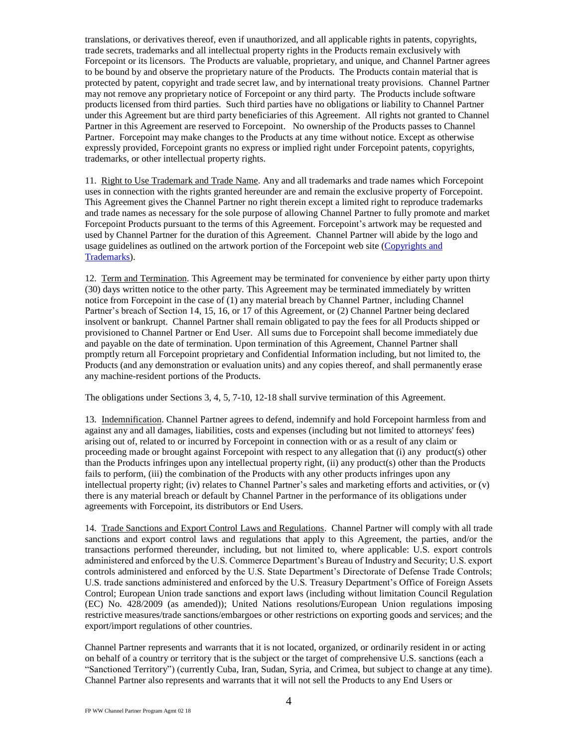translations, or derivatives thereof, even if unauthorized, and all applicable rights in patents, copyrights, trade secrets, trademarks and all intellectual property rights in the Products remain exclusively with Forcepoint or its licensors. The Products are valuable, proprietary, and unique, and Channel Partner agrees to be bound by and observe the proprietary nature of the Products. The Products contain material that is protected by patent, copyright and trade secret law, and by international treaty provisions. Channel Partner may not remove any proprietary notice of Forcepoint or any third party. The Products include software products licensed from third parties. Such third parties have no obligations or liability to Channel Partner under this Agreement but are third party beneficiaries of this Agreement. All rights not granted to Channel Partner in this Agreement are reserved to Forcepoint. No ownership of the Products passes to Channel Partner. Forcepoint may make changes to the Products at any time without notice. Except as otherwise expressly provided, Forcepoint grants no express or implied right under Forcepoint patents, copyrights, trademarks, or other intellectual property rights.

11. Right to Use Trademark and Trade Name. Any and all trademarks and trade names which Forcepoint uses in connection with the rights granted hereunder are and remain the exclusive property of Forcepoint. This Agreement gives the Channel Partner no right therein except a limited right to reproduce trademarks and trade names as necessary for the sole purpose of allowing Channel Partner to fully promote and market Forcepoint Products pursuant to the terms of this Agreement. Forcepoint's artwork may be requested and used by Channel Partner for the duration of this Agreement. Channel Partner will abide by the logo and usage guidelines as outlined on the artwork portion of the Forcepoint web site [\(Copyrights](https://www.forcepoint.com/copyrights-and-trademarks) and [Trademarks\)](https://www.forcepoint.com/copyrights-and-trademarks).

12. Term and Termination. This Agreement may be terminated for convenience by either party upon thirty (30) days written notice to the other party. This Agreement may be terminated immediately by written notice from Forcepoint in the case of (1) any material breach by Channel Partner, including Channel Partner's breach of Section 14, 15, 16, or 17 of this Agreement, or (2) Channel Partner being declared insolvent or bankrupt. Channel Partner shall remain obligated to pay the fees for all Products shipped or provisioned to Channel Partner or End User. All sums due to Forcepoint shall become immediately due and payable on the date of termination. Upon termination of this Agreement, Channel Partner shall promptly return all Forcepoint proprietary and Confidential Information including, but not limited to, the Products (and any demonstration or evaluation units) and any copies thereof, and shall permanently erase any machine-resident portions of the Products.

The obligations under Sections 3, 4, 5, 7-10, 12-18 shall survive termination of this Agreement.

13. Indemnification. Channel Partner agrees to defend, indemnify and hold Forcepoint harmless from and against any and all damages, liabilities, costs and expenses (including but not limited to attorneys' fees) arising out of, related to or incurred by Forcepoint in connection with or as a result of any claim or proceeding made or brought against Forcepoint with respect to any allegation that (i) any product(s) other than the Products infringes upon any intellectual property right, (ii) any product(s) other than the Products fails to perform, (iii) the combination of the Products with any other products infringes upon any intellectual property right; (iv) relates to Channel Partner's sales and marketing efforts and activities, or (v) there is any material breach or default by Channel Partner in the performance of its obligations under agreements with Forcepoint, its distributors or End Users.

14. Trade Sanctions and Export Control Laws and Regulations. Channel Partner will comply with all trade sanctions and export control laws and regulations that apply to this Agreement, the parties, and/or the transactions performed thereunder, including, but not limited to, where applicable: U.S. export controls administered and enforced by the U.S. Commerce Department's Bureau of Industry and Security; U.S. export controls administered and enforced by the U.S. State Department's Directorate of Defense Trade Controls; U.S. trade sanctions administered and enforced by the U.S. Treasury Department's Office of Foreign Assets Control; European Union trade sanctions and export laws (including without limitation Council Regulation (EC) No. 428/2009 (as amended)); United Nations resolutions/European Union regulations imposing restrictive measures/trade sanctions/embargoes or other restrictions on exporting goods and services; and the export/import regulations of other countries.

Channel Partner represents and warrants that it is not located, organized, or ordinarily resident in or acting on behalf of a country or territory that is the subject or the target of comprehensive U.S. sanctions (each a "Sanctioned Territory") (currently Cuba, Iran, Sudan, Syria, and Crimea, but subject to change at any time). Channel Partner also represents and warrants that it will not sell the Products to any End Users or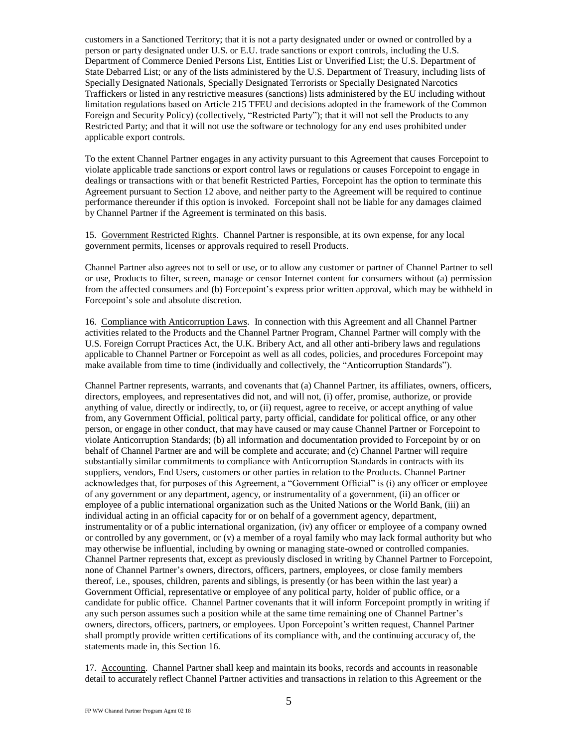customers in a Sanctioned Territory; that it is not a party designated under or owned or controlled by a person or party designated under U.S. or E.U. trade sanctions or export controls, including the U.S. Department of Commerce Denied Persons List, Entities List or Unverified List; the U.S. Department of State Debarred List; or any of the lists administered by the U.S. Department of Treasury, including lists of Specially Designated Nationals, Specially Designated Terrorists or Specially Designated Narcotics Traffickers or listed in any restrictive measures (sanctions) lists administered by the EU including without limitation regulations based on Article 215 TFEU and decisions adopted in the framework of the Common Foreign and Security Policy) (collectively, "Restricted Party"); that it will not sell the Products to any Restricted Party; and that it will not use the software or technology for any end uses prohibited under applicable export controls.

To the extent Channel Partner engages in any activity pursuant to this Agreement that causes Forcepoint to violate applicable trade sanctions or export control laws or regulations or causes Forcepoint to engage in dealings or transactions with or that benefit Restricted Parties, Forcepoint has the option to terminate this Agreement pursuant to Section 12 above, and neither party to the Agreement will be required to continue performance thereunder if this option is invoked. Forcepoint shall not be liable for any damages claimed by Channel Partner if the Agreement is terminated on this basis.

15. Government Restricted Rights. Channel Partner is responsible, at its own expense, for any local government permits, licenses or approvals required to resell Products.

Channel Partner also agrees not to sell or use, or to allow any customer or partner of Channel Partner to sell or use, Products to filter, screen, manage or censor Internet content for consumers without (a) permission from the affected consumers and (b) Forcepoint's express prior written approval, which may be withheld in Forcepoint's sole and absolute discretion.

16. Compliance with Anticorruption Laws. In connection with this Agreement and all Channel Partner activities related to the Products and the Channel Partner Program, Channel Partner will comply with the U.S. Foreign Corrupt Practices Act, the U.K. Bribery Act, and all other anti-bribery laws and regulations applicable to Channel Partner or Forcepoint as well as all codes, policies, and procedures Forcepoint may make available from time to time (individually and collectively, the "Anticorruption Standards").

Channel Partner represents, warrants, and covenants that (a) Channel Partner, its affiliates, owners, officers, directors, employees, and representatives did not, and will not, (i) offer, promise, authorize, or provide anything of value, directly or indirectly, to, or (ii) request, agree to receive, or accept anything of value from, any Government Official, political party, party official, candidate for political office, or any other person, or engage in other conduct, that may have caused or may cause Channel Partner or Forcepoint to violate Anticorruption Standards; (b) all information and documentation provided to Forcepoint by or on behalf of Channel Partner are and will be complete and accurate; and (c) Channel Partner will require substantially similar commitments to compliance with Anticorruption Standards in contracts with its suppliers, vendors, End Users, customers or other parties in relation to the Products. Channel Partner acknowledges that, for purposes of this Agreement, a "Government Official" is (i) any officer or employee of any government or any department, agency, or instrumentality of a government, (ii) an officer or employee of a public international organization such as the United Nations or the World Bank, (iii) an individual acting in an official capacity for or on behalf of a government agency, department, instrumentality or of a public international organization, (iv) any officer or employee of a company owned or controlled by any government, or (v) a member of a royal family who may lack formal authority but who may otherwise be influential, including by owning or managing state-owned or controlled companies. Channel Partner represents that, except as previously disclosed in writing by Channel Partner to Forcepoint, none of Channel Partner's owners, directors, officers, partners, employees, or close family members thereof, i.e., spouses, children, parents and siblings, is presently (or has been within the last year) a Government Official, representative or employee of any political party, holder of public office, or a candidate for public office. Channel Partner covenants that it will inform Forcepoint promptly in writing if any such person assumes such a position while at the same time remaining one of Channel Partner's owners, directors, officers, partners, or employees. Upon Forcepoint's written request, Channel Partner shall promptly provide written certifications of its compliance with, and the continuing accuracy of, the statements made in, this Section 16.

17. Accounting. Channel Partner shall keep and maintain its books, records and accounts in reasonable detail to accurately reflect Channel Partner activities and transactions in relation to this Agreement or the